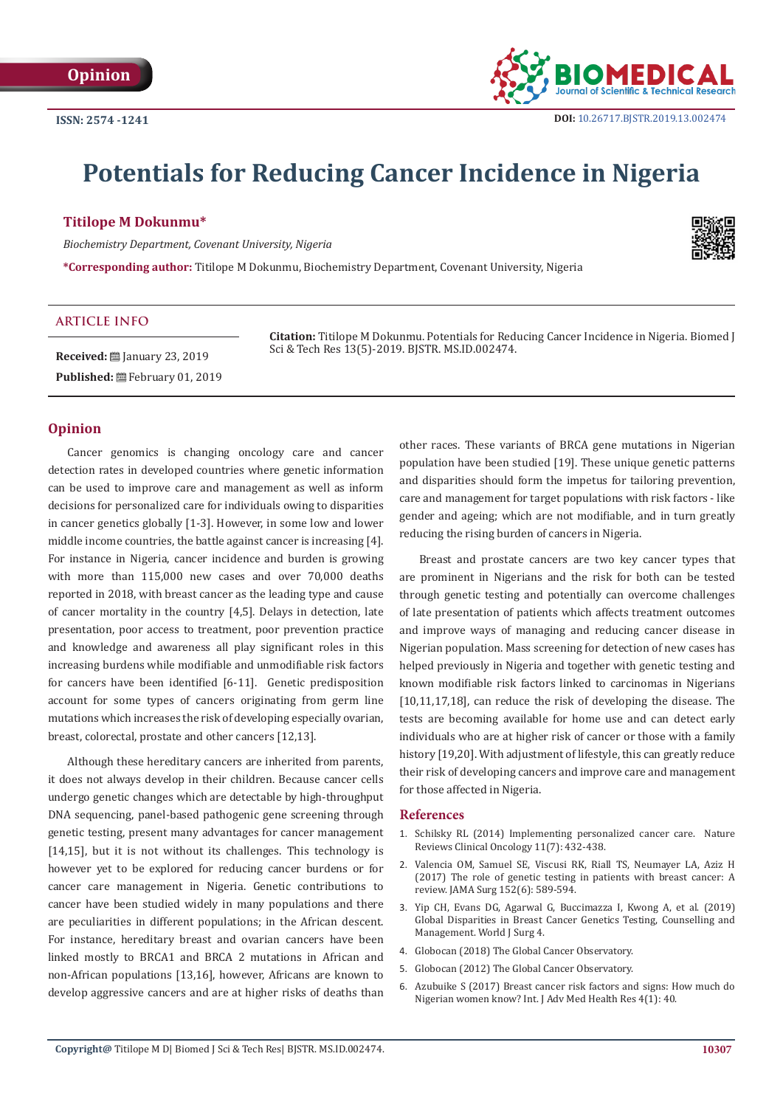

# **Potentials for Reducing Cancer Incidence in Nigeria**

## **Titilope M Dokunmu\***

*Biochemistry Department, Covenant University, Nigeria*

**\*Corresponding author:** Titilope M Dokunmu, Biochemistry Department, Covenant University, Nigeria



### **ARTICLE INFO**

**Received:** [2019] **Received:** [2019] Published: **■**February 01, 2019 **Citation:** Titilope M Dokunmu. Potentials for Reducing Cancer Incidence in Nigeria. Biomed J Sci & Tech Res 13(5)-2019. BJSTR. MS.ID.002474.

#### **Opinion**

Cancer genomics is changing oncology care and cancer detection rates in developed countries where genetic information can be used to improve care and management as well as inform decisions for personalized care for individuals owing to disparities in cancer genetics globally [1-3]. However, in some low and lower middle income countries, the battle against cancer is increasing [4]. For instance in Nigeria, cancer incidence and burden is growing with more than 115,000 new cases and over 70,000 deaths reported in 2018, with breast cancer as the leading type and cause of cancer mortality in the country [4,5]. Delays in detection, late presentation, poor access to treatment, poor prevention practice and knowledge and awareness all play significant roles in this increasing burdens while modifiable and unmodifiable risk factors for cancers have been identified [6-11]. Genetic predisposition account for some types of cancers originating from germ line mutations which increases the risk of developing especially ovarian, breast, colorectal, prostate and other cancers [12,13].

Although these hereditary cancers are inherited from parents, it does not always develop in their children. Because cancer cells undergo genetic changes which are detectable by high-throughput DNA sequencing, panel-based pathogenic gene screening through genetic testing, present many advantages for cancer management [14,15], but it is not without its challenges. This technology is however yet to be explored for reducing cancer burdens or for cancer care management in Nigeria. Genetic contributions to cancer have been studied widely in many populations and there are peculiarities in different populations; in the African descent. For instance, hereditary breast and ovarian cancers have been linked mostly to BRCA1 and BRCA 2 mutations in African and non-African populations [13,16], however, Africans are known to develop aggressive cancers and are at higher risks of deaths than

other races. These variants of BRCA gene mutations in Nigerian population have been studied [19]. These unique genetic patterns and disparities should form the impetus for tailoring prevention, care and management for target populations with risk factors - like gender and ageing; which are not modifiable, and in turn greatly reducing the rising burden of cancers in Nigeria.

Breast and prostate cancers are two key cancer types that are prominent in Nigerians and the risk for both can be tested through genetic testing and potentially can overcome challenges of late presentation of patients which affects treatment outcomes and improve ways of managing and reducing cancer disease in Nigerian population. Mass screening for detection of new cases has helped previously in Nigeria and together with genetic testing and known modifiable risk factors linked to carcinomas in Nigerians [10,11,17,18], can reduce the risk of developing the disease. The tests are becoming available for home use and can detect early individuals who are at higher risk of cancer or those with a family history [19,20]. With adjustment of lifestyle, this can greatly reduce their risk of developing cancers and improve care and management for those affected in Nigeria.

#### **References**

- 1. [Schilsky RL \(2014\) Implementing personalized cancer care. Nature](https://www.ncbi.nlm.nih.gov/pubmed/24687035) [Reviews Clinical Oncology 11\(7\): 432-438.](https://www.ncbi.nlm.nih.gov/pubmed/24687035)
- 2. [Valencia OM, Samuel SE, Viscusi RK, Riall TS, Neumayer LA, Aziz H](https://www.ncbi.nlm.nih.gov/pubmed/28423155) [\(2017\) The role of genetic testing in patients with breast cancer: A](https://www.ncbi.nlm.nih.gov/pubmed/28423155) [review. JAMA Surg 152\(6\): 589-594.](https://www.ncbi.nlm.nih.gov/pubmed/28423155)
- 3. [Yip CH, Evans DG, Agarwal G, Buccimazza I, Kwong A, et al. \(2019\)](https://www.ncbi.nlm.nih.gov/pubmed/30610270) [Global Disparities in Breast Cancer Genetics Testing, Counselling and](https://www.ncbi.nlm.nih.gov/pubmed/30610270) [Management. World J Surg 4.](https://www.ncbi.nlm.nih.gov/pubmed/30610270)
- 4. [Globocan \(2018\) The Global Cancer Observatory.](http://gco.iarc.fr/today/data/factsheets/populations/566-nigeria-fact-sheets.pdf)
- 5. [Globocan \(2012\) The Global Cancer Observatory.](http://gco.iarc.fr/today/fact-sheets-cancers)
- 6. [Azubuike S \(2017\) Breast cancer risk factors and signs: How much do](http://www.ijamhrjournal.org/article.asp?issn=2349-4220;year=2017;volume=4;issue=1;spage=40;epage=43;aulast=Azubuike) [Nigerian women know? Int. J Adv Med Health Res 4\(1\): 40.](http://www.ijamhrjournal.org/article.asp?issn=2349-4220;year=2017;volume=4;issue=1;spage=40;epage=43;aulast=Azubuike)